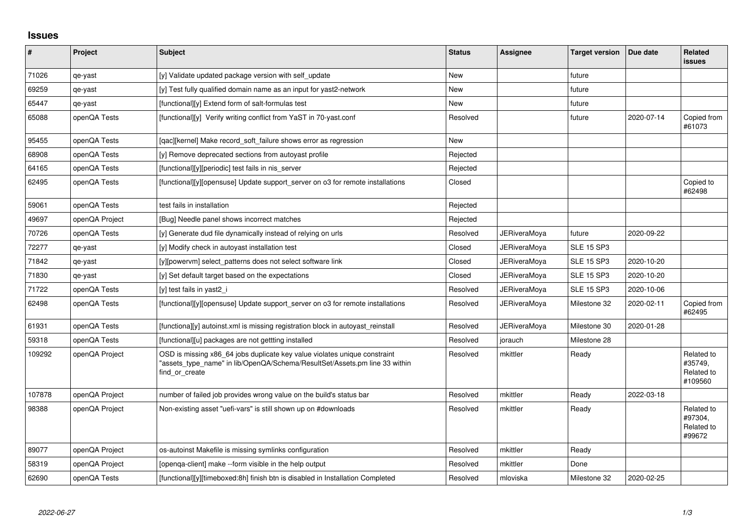## **Issues**

| #      | Project        | <b>Subject</b>                                                                                                                                                            | <b>Status</b> | Assignee            | <b>Target version</b> | Due date   | <b>Related</b><br><b>issues</b>                |
|--------|----------------|---------------------------------------------------------------------------------------------------------------------------------------------------------------------------|---------------|---------------------|-----------------------|------------|------------------------------------------------|
| 71026  | qe-yast        | [y] Validate updated package version with self update                                                                                                                     | <b>New</b>    |                     | future                |            |                                                |
| 69259  | qe-yast        | [y] Test fully qualified domain name as an input for yast2-network                                                                                                        | <b>New</b>    |                     | future                |            |                                                |
| 65447  | qe-yast        | [functional][y] Extend form of salt-formulas test                                                                                                                         | New           |                     | future                |            |                                                |
| 65088  | openQA Tests   | [functional][y] Verify writing conflict from YaST in 70-yast.conf                                                                                                         | Resolved      |                     | future                | 2020-07-14 | Copied from<br>#61073                          |
| 95455  | openQA Tests   | [qac][kernel] Make record_soft_failure shows error as regression                                                                                                          | New           |                     |                       |            |                                                |
| 68908  | openQA Tests   | [y] Remove deprecated sections from autoyast profile                                                                                                                      | Rejected      |                     |                       |            |                                                |
| 64165  | openQA Tests   | [functional][y][periodic] test fails in nis server                                                                                                                        | Rejected      |                     |                       |            |                                                |
| 62495  | openQA Tests   | [functional][y][opensuse] Update support server on o3 for remote installations                                                                                            | Closed        |                     |                       |            | Copied to<br>#62498                            |
| 59061  | openQA Tests   | test fails in installation                                                                                                                                                | Rejected      |                     |                       |            |                                                |
| 49697  | openQA Project | [Bug] Needle panel shows incorrect matches                                                                                                                                | Rejected      |                     |                       |            |                                                |
| 70726  | openQA Tests   | [y] Generate dud file dynamically instead of relying on urls                                                                                                              | Resolved      | JERiveraMoya        | future                | 2020-09-22 |                                                |
| 72277  | qe-yast        | [y] Modify check in autoyast installation test                                                                                                                            | Closed        | <b>JERiveraMova</b> | <b>SLE 15 SP3</b>     |            |                                                |
| 71842  | qe-yast        | [y][powervm] select_patterns does not select software link                                                                                                                | Closed        | <b>JERiveraMoya</b> | <b>SLE 15 SP3</b>     | 2020-10-20 |                                                |
| 71830  | qe-yast        | [y] Set default target based on the expectations                                                                                                                          | Closed        | <b>JERiveraMoya</b> | <b>SLE 15 SP3</b>     | 2020-10-20 |                                                |
| 71722  | openQA Tests   | [y] test fails in yast2 i                                                                                                                                                 | Resolved      | <b>JERiveraMoya</b> | <b>SLE 15 SP3</b>     | 2020-10-06 |                                                |
| 62498  | openQA Tests   | [functional][y][opensuse] Update support_server on o3 for remote installations                                                                                            | Resolved      | JERiveraMoya        | Milestone 32          | 2020-02-11 | Copied from<br>#62495                          |
| 61931  | openQA Tests   | [functiona][y] autoinst.xml is missing registration block in autoyast_reinstall                                                                                           | Resolved      | <b>JERiveraMoya</b> | Milestone 30          | 2020-01-28 |                                                |
| 59318  | openQA Tests   | [functional][u] packages are not gettting installed                                                                                                                       | Resolved      | jorauch             | Milestone 28          |            |                                                |
| 109292 | openQA Project | OSD is missing x86_64 jobs duplicate key value violates unique constraint<br>"assets_type_name" in lib/OpenQA/Schema/ResultSet/Assets.pm line 33 within<br>find or create | Resolved      | mkittler            | Ready                 |            | Related to<br>#35749,<br>Related to<br>#109560 |
| 107878 | openQA Project | number of failed job provides wrong value on the build's status bar                                                                                                       | Resolved      | mkittler            | Ready                 | 2022-03-18 |                                                |
| 98388  | openQA Project | Non-existing asset "uefi-vars" is still shown up on #downloads                                                                                                            | Resolved      | mkittler            | Ready                 |            | Related to<br>#97304,<br>Related to<br>#99672  |
| 89077  | openQA Project | os-autoinst Makefile is missing symlinks configuration                                                                                                                    | Resolved      | mkittler            | Ready                 |            |                                                |
| 58319  | openQA Project | [openga-client] make --form visible in the help output                                                                                                                    | Resolved      | mkittler            | Done                  |            |                                                |
| 62690  | openQA Tests   | [functional][y][timeboxed:8h] finish btn is disabled in Installation Completed                                                                                            | Resolved      | mloviska            | Milestone 32          | 2020-02-25 |                                                |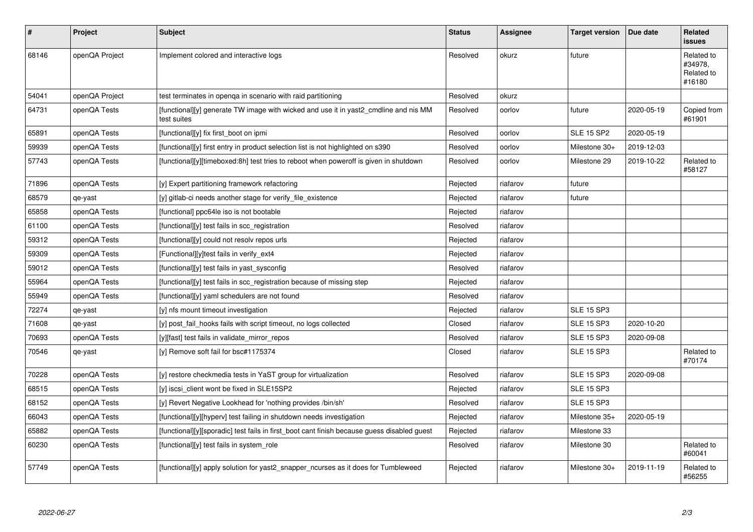| $\sharp$ | Project        | <b>Subject</b>                                                                                      | <b>Status</b> | <b>Assignee</b> | <b>Target version</b> | Due date   | <b>Related</b><br><b>issues</b>               |
|----------|----------------|-----------------------------------------------------------------------------------------------------|---------------|-----------------|-----------------------|------------|-----------------------------------------------|
| 68146    | openQA Project | Implement colored and interactive logs                                                              | Resolved      | okurz           | future                |            | Related to<br>#34978.<br>Related to<br>#16180 |
| 54041    | openQA Project | test terminates in openga in scenario with raid partitioning                                        | Resolved      | okurz           |                       |            |                                               |
| 64731    | openQA Tests   | [functional][y] generate TW image with wicked and use it in yast2 cmdline and nis MM<br>test suites | Resolved      | oorlov          | future                | 2020-05-19 | Copied from<br>#61901                         |
| 65891    | openQA Tests   | [functional][y] fix first_boot on ipmi                                                              | Resolved      | oorlov          | <b>SLE 15 SP2</b>     | 2020-05-19 |                                               |
| 59939    | openQA Tests   | [functional][y] first entry in product selection list is not highlighted on s390                    | Resolved      | oorlov          | Milestone 30+         | 2019-12-03 |                                               |
| 57743    | openQA Tests   | [functional][y][timeboxed:8h] test tries to reboot when poweroff is given in shutdown               | Resolved      | oorlov          | Milestone 29          | 2019-10-22 | Related to<br>#58127                          |
| 71896    | openQA Tests   | [y] Expert partitioning framework refactoring                                                       | Rejected      | riafarov        | future                |            |                                               |
| 68579    | qe-yast        | [y] gitlab-ci needs another stage for verify_file_existence                                         | Rejected      | riafarov        | future                |            |                                               |
| 65858    | openQA Tests   | [functional] ppc64le iso is not bootable                                                            | Rejected      | riafarov        |                       |            |                                               |
| 61100    | openQA Tests   | [functional][y] test fails in scc_registration                                                      | Resolved      | riafarov        |                       |            |                                               |
| 59312    | openQA Tests   | [functional][y] could not resolv repos urls                                                         | Rejected      | riafarov        |                       |            |                                               |
| 59309    | openQA Tests   | [Functional][y]test fails in verify ext4                                                            | Rejected      | riafarov        |                       |            |                                               |
| 59012    | openQA Tests   | [functional][y] test fails in yast sysconfig                                                        | Resolved      | riafarov        |                       |            |                                               |
| 55964    | openQA Tests   | [functional][y] test fails in scc_registration because of missing step                              | Rejected      | riafarov        |                       |            |                                               |
| 55949    | openQA Tests   | [functional][y] yaml schedulers are not found                                                       | Resolved      | riafarov        |                       |            |                                               |
| 72274    | qe-yast        | [y] nfs mount timeout investigation                                                                 | Rejected      | riafarov        | <b>SLE 15 SP3</b>     |            |                                               |
| 71608    | qe-yast        | [y] post_fail_hooks fails with script timeout, no logs collected                                    | Closed        | riafarov        | <b>SLE 15 SP3</b>     | 2020-10-20 |                                               |
| 70693    | openQA Tests   | [y][fast] test fails in validate_mirror_repos                                                       | Resolved      | riafarov        | <b>SLE 15 SP3</b>     | 2020-09-08 |                                               |
| 70546    | qe-yast        | [y] Remove soft fail for bsc#1175374                                                                | Closed        | riafarov        | <b>SLE 15 SP3</b>     |            | Related to<br>#70174                          |
| 70228    | openQA Tests   | [y] restore checkmedia tests in YaST group for virtualization                                       | Resolved      | riafarov        | <b>SLE 15 SP3</b>     | 2020-09-08 |                                               |
| 68515    | openQA Tests   | [y] iscsi client wont be fixed in SLE15SP2                                                          | Rejected      | riafarov        | <b>SLE 15 SP3</b>     |            |                                               |
| 68152    | openQA Tests   | [y] Revert Negative Lookhead for 'nothing provides /bin/sh'                                         | Resolved      | riafarov        | <b>SLE 15 SP3</b>     |            |                                               |
| 66043    | openQA Tests   | [functional][y][hyperv] test failing in shutdown needs investigation                                | Rejected      | riafarov        | Milestone 35+         | 2020-05-19 |                                               |
| 65882    | openQA Tests   | [functional][y][sporadic] test fails in first_boot cant finish because guess disabled guest         | Rejected      | riafarov        | Milestone 33          |            |                                               |
| 60230    | openQA Tests   | [functional][y] test fails in system_role                                                           | Resolved      | riafarov        | Milestone 30          |            | Related to<br>#60041                          |
| 57749    | openQA Tests   | [functional][y] apply solution for yast2 snapper ncurses as it does for Tumbleweed                  | Rejected      | riafarov        | Milestone 30+         | 2019-11-19 | Related to<br>#56255                          |